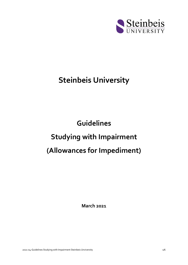

# **Steinbeis University**

# **Guidelines Studying with Impairment (Allowances for Impediment)**

**March 2021**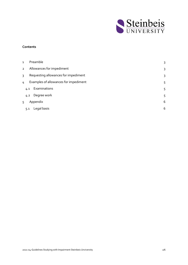

#### **Contents**

| $\mathbf{1}$   |     | Preamble                              | 3 |
|----------------|-----|---------------------------------------|---|
| $\overline{2}$ |     | Allowances for impediment             | 3 |
| $\mathbf{R}$   |     | Requesting allowances for impediment  | 3 |
| 4              |     | Examples of allowances for impediment | 5 |
|                | 4.1 | Examinations                          | 5 |
|                | 4.2 | Degree work                           | 5 |
| 5              |     | Appendix                              | 6 |
|                | 5.1 | Legal basis                           | 6 |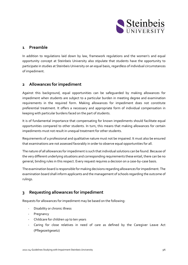

### <span id="page-2-0"></span>**1 Preamble**

In addition to regulations laid down by law, framework regulations and the women's and equal opportunity concept at Steinbeis University also stipulate that students have the opportunity to participate in studies at Steinbeis University on an equal basis, regardless of individual circumstances of impediment.

# <span id="page-2-1"></span>**2 Allowances for impediment**

Against this background, equal opportunities can be safeguarded by making allowances for impediment when students are subject to a particular burden in meeting degree and examination requirements in the required form. Making allowances for impediment does not constitute preferential treatment. It offers a necessary and appropriate form of individual compensation in keeping with particular burdens faced on the part of students.

It is of fundamental importance that compensating for known impediments should facilitate equal opportunities compared to other students. In turn, this means that making allowances for certain impediments must not result in unequal treatment for other students.

Requirements of a professional and qualitative nature must not be impaired. It must also be ensured that examinations are not assessed favorably in order to observe equal opportunities for all.

The nature of all allowances for impediment is such that individual solutions can be found. Because of the very different underlying situations and corresponding requirements these entail, there can be no general, binding rules in this respect. Every request requires a decision on a case-by-case basis.

The examination board is responsible for making decisions regarding allowances for impediment. The examination board shall inform applicants and the management of schools regarding the outcome of rulings.

# <span id="page-2-2"></span>**3 Requesting allowances for impediment**

Requests for allowances for impediment may be based on the following:

- Disability or chronic illness
- Pregnancy
- Childcare for children up to ten years
- Caring for close relatives in need of care as defined by the Caregiver Leave Act (Pflegezeitgesetz)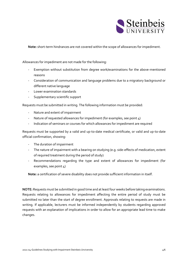

**Note:** short-term hindrances are not covered within the scope of allowances for impediment.

Allowances for impediment are not made for the following:

- Exemption without substitution from degree work/examinations for the above-mentioned reasons
- Consideration of communication and language problems due to a migratory background or different native language
- Lower examination standards
- Supplementary scientific support

Requests must be submitted in writing. The following information must be provided:

- Nature and extent of impairment
- Nature of requested allowances for impediment (for examples, see point 4)
- Indication of seminars or courses for which allowances for impediment are required

Requests must be supported by a valid and up-to-date medical certificate, or valid and up-to-date official confirmation, showing:

- The duration of impairment
- The nature of impairment with a bearing on studying (e.g. side-effects of medication, extent of required treatment during the period of study)
- Recommendations regarding the type and extent of allowances for impediment (for examples, see point 4)

**Note:** a certification of severe disability does not provide sufficient information in itself.

**NOTE:** Requests must be submitted in good time and at least four weeks before taking examinations. Requests relating to allowances for impediment affecting the entire period of study must be submitted no later than the start of degree enrollment. Approvals relating to requests are made in writing. If applicable, lecturers must be informed independently by students regarding approved requests with an explanation of implications in order to allow for an appropriate lead time to make changes.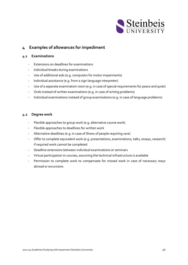

# <span id="page-4-0"></span>**4 Examples of allowances for impediment**

#### <span id="page-4-1"></span>**4.1 Examinations**

- Extensions on deadlines for examinations
- Individual breaks during examinations
- Use of additional aids (e.g. computers for motor impairments)
- Individual assistance (e.g. from a sign language interpreter)
- Use of a separate examination room (e.g. in case of special requirements for peace and quiet)
- Orals instead of written examinations (e.g. in case of writing problems)
- Individual examinations instead of group examinations (e.g. in case of language problems)

#### <span id="page-4-2"></span>**4.2 Degree work**

- Flexible approaches to group work (e.g. alternative course work)
- Flexible approaches to deadlines for written work
- Alternative deadlines (e.g. in case of illness of people requiring care)
- Offer to complete equivalent work (e.g. presentations, examinations, talks, essays, research) if required work cannot be completed
- Deadline extensions between individual examinations or seminars
- Virtual participation in courses, assuming the technical infrastructure is available
- Permission to complete work to compensate for missed work in case of necessary stays abroad or excursions